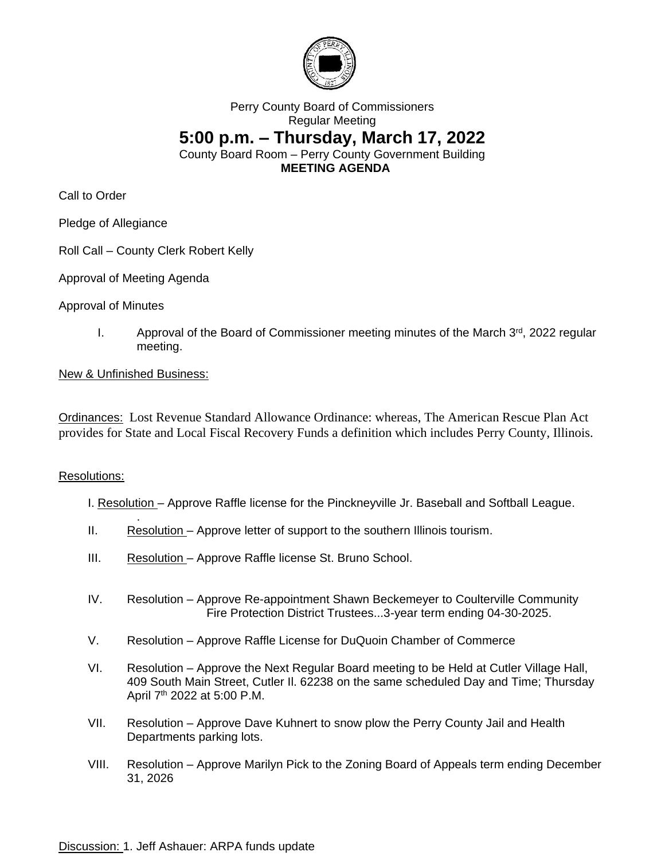

## Perry County Board of Commissioners Regular Meeting **5:00 p.m. – Thursday, March 17, 2022** County Board Room – Perry County Government Building **MEETING AGENDA**

Call to Order

Pledge of Allegiance

Roll Call – County Clerk Robert Kelly

Approval of Meeting Agenda

Approval of Minutes

I. Approval of the Board of Commissioner meeting minutes of the March 3<sup>rd</sup>, 2022 regular meeting.

## New & Unfinished Business:

.

Ordinances: Lost Revenue Standard Allowance Ordinance: whereas, The American Rescue Plan Act provides for State and Local Fiscal Recovery Funds a definition which includes Perry County, Illinois.

## Resolutions:

- I. Resolution Approve Raffle license for the Pinckneyville Jr. Baseball and Softball League.
- II. Resolution Approve letter of support to the southern Illinois tourism.
- III. Resolution Approve Raffle license St. Bruno School.
- IV. Resolution Approve Re-appointment Shawn Beckemeyer to Coulterville Community Fire Protection District Trustees...3-year term ending 04-30-2025.
- V. Resolution Approve Raffle License for DuQuoin Chamber of Commerce
- VI. Resolution Approve the Next Regular Board meeting to be Held at Cutler Village Hall, 409 South Main Street, Cutler Il. 62238 on the same scheduled Day and Time; Thursday April 7th 2022 at 5:00 P.M.
- VII. Resolution Approve Dave Kuhnert to snow plow the Perry County Jail and Health Departments parking lots.
- VIII. Resolution Approve Marilyn Pick to the Zoning Board of Appeals term ending December 31, 2026